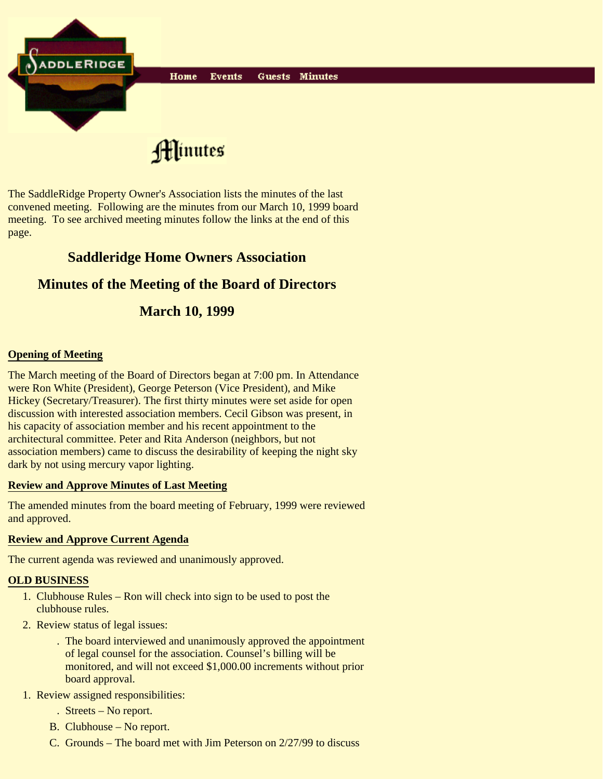

Hlinutes

The SaddleRidge Property Owner's Association lists the minutes of the last convened meeting. Following are the minutes from our March 10, 1999 board meeting. To see archived meeting minutes follow the links at the end of this page.

## **Saddleridge Home Owners Association**

# **Minutes of the Meeting of the Board of Directors**

# **March 10, 1999**

## **Opening of Meeting**

The March meeting of the Board of Directors began at 7:00 pm. In Attendance were Ron White (President), George Peterson (Vice President), and Mike Hickey (Secretary/Treasurer). The first thirty minutes were set aside for open discussion with interested association members. Cecil Gibson was present, in his capacity of association member and his recent appointment to the architectural committee. Peter and Rita Anderson (neighbors, but not association members) came to discuss the desirability of keeping the night sky dark by not using mercury vapor lighting.

#### **Review and Approve Minutes of Last Meeting**

The amended minutes from the board meeting of February, 1999 were reviewed and approved.

#### **Review and Approve Current Agenda**

The current agenda was reviewed and unanimously approved.

#### **OLD BUSINESS**

- 1. Clubhouse Rules Ron will check into sign to be used to post the clubhouse rules.
- 2. Review status of legal issues:
	- The board interviewed and unanimously approved the appointment . of legal counsel for the association. Counsel's billing will be monitored, and will not exceed \$1,000.00 increments without prior board approval.
- 1. Review assigned responsibilities:
	- . Streets No report.
	- B. Clubhouse No report.
	- C. Grounds The board met with Jim Peterson on 2/27/99 to discuss